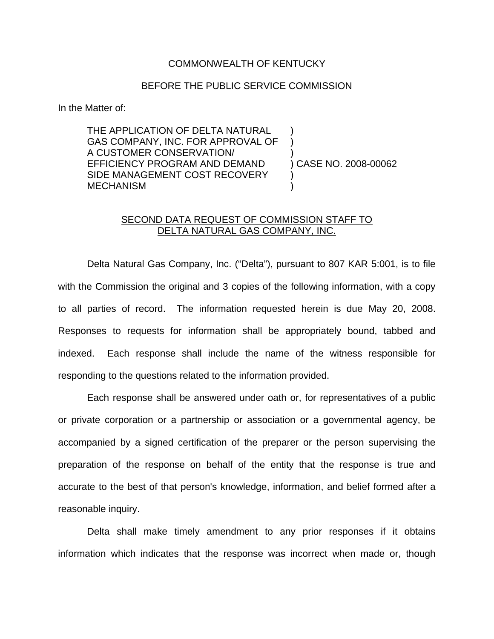## COMMONWEALTH OF KENTUCKY

## BEFORE THE PUBLIC SERVICE COMMISSION

In the Matter of:

THE APPLICATION OF DELTA NATURAL GAS COMPANY, INC. FOR APPROVAL OF A CUSTOMER CONSERVATION/ ) EFFICIENCY PROGRAM AND DEMAND ) CASE NO. 2008-00062 SIDE MANAGEMENT COST RECOVERY **MECHANISM** 

## SECOND DATA REQUEST OF COMMISSION STAFF TO DELTA NATURAL GAS COMPANY, INC.

Delta Natural Gas Company, Inc. ("Delta"), pursuant to 807 KAR 5:001, is to file with the Commission the original and 3 copies of the following information, with a copy to all parties of record. The information requested herein is due May 20, 2008. Responses to requests for information shall be appropriately bound, tabbed and indexed. Each response shall include the name of the witness responsible for responding to the questions related to the information provided.

Each response shall be answered under oath or, for representatives of a public or private corporation or a partnership or association or a governmental agency, be accompanied by a signed certification of the preparer or the person supervising the preparation of the response on behalf of the entity that the response is true and accurate to the best of that person's knowledge, information, and belief formed after a reasonable inquiry.

Delta shall make timely amendment to any prior responses if it obtains information which indicates that the response was incorrect when made or, though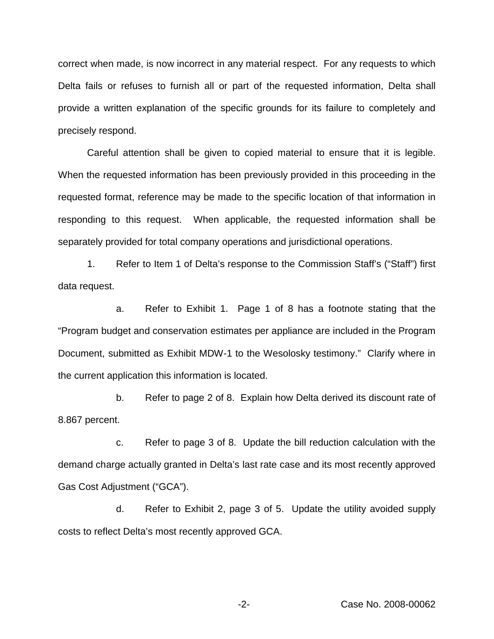correct when made, is now incorrect in any material respect. For any requests to which Delta fails or refuses to furnish all or part of the requested information, Delta shall provide a written explanation of the specific grounds for its failure to completely and precisely respond.

Careful attention shall be given to copied material to ensure that it is legible. When the requested information has been previously provided in this proceeding in the requested format, reference may be made to the specific location of that information in responding to this request. When applicable, the requested information shall be separately provided for total company operations and jurisdictional operations.

1. Refer to Item 1 of Delta's response to the Commission Staff's ("Staff") first data request.

a. Refer to Exhibit 1. Page 1 of 8 has a footnote stating that the "Program budget and conservation estimates per appliance are included in the Program Document, submitted as Exhibit MDW-1 to the Wesolosky testimony." Clarify where in the current application this information is located.

b. Refer to page 2 of 8. Explain how Delta derived its discount rate of 8.867 percent.

c. Refer to page 3 of 8. Update the bill reduction calculation with the demand charge actually granted in Delta's last rate case and its most recently approved Gas Cost Adjustment ("GCA").

d. Refer to Exhibit 2, page 3 of 5. Update the utility avoided supply costs to reflect Delta's most recently approved GCA.